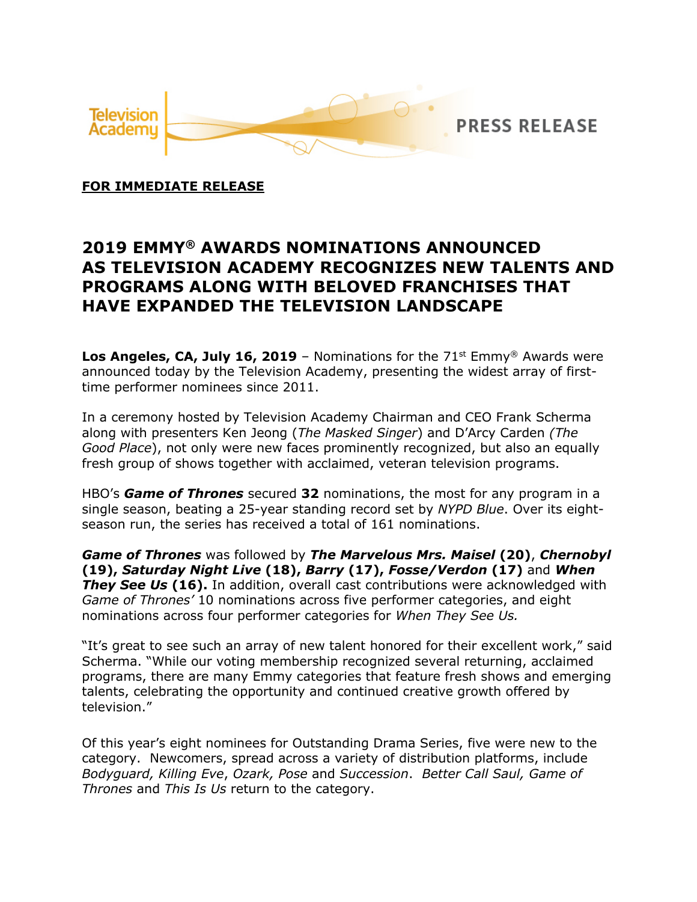

**FOR IMMEDIATE RELEASE**

## **2019 EMMY® AWARDS NOMINATIONS ANNOUNCED AS TELEVISION ACADEMY RECOGNIZES NEW TALENTS AND PROGRAMS ALONG WITH BELOVED FRANCHISES THAT HAVE EXPANDED THE TELEVISION LANDSCAPE**

**Los Angeles, CA, July 16, 2019** – Nominations for the  $71<sup>st</sup>$  Emmy<sup>®</sup> Awards were announced today by the Television Academy, presenting the widest array of firsttime performer nominees since 2011.

In a ceremony hosted by Television Academy Chairman and CEO Frank Scherma along with presenters Ken Jeong (*The Masked Singer*) and D'Arcy Carden *(The Good Place*), not only were new faces prominently recognized, but also an equally fresh group of shows together with acclaimed, veteran television programs.

HBO's *Game of Thrones* secured **32** nominations, the most for any program in a single season, beating a 25-year standing record set by *NYPD Blue*. Over its eightseason run, the series has received a total of 161 nominations.

*Game of Thrones* was followed by *The Marvelous Mrs. Maisel* **(20)**, *Chernobyl* **(19),** *Saturday Night Live* **(18),** *Barry* **(17),** *Fosse/Verdon* **(17)** and *When*  **They See Us (16).** In addition, overall cast contributions were acknowledged with *Game of Thrones'* 10 nominations across five performer categories, and eight nominations across four performer categories for *When They See Us.*

"It's great to see such an array of new talent honored for their excellent work," said Scherma. "While our voting membership recognized several returning, acclaimed programs, there are many Emmy categories that feature fresh shows and emerging talents, celebrating the opportunity and continued creative growth offered by television."

Of this year's eight nominees for Outstanding Drama Series, five were new to the category. Newcomers, spread across a variety of distribution platforms, include *Bodyguard, Killing Eve*, *Ozark, Pose* and *Succession*. *Better Call Saul, Game of Thrones* and *This Is Us* return to the category.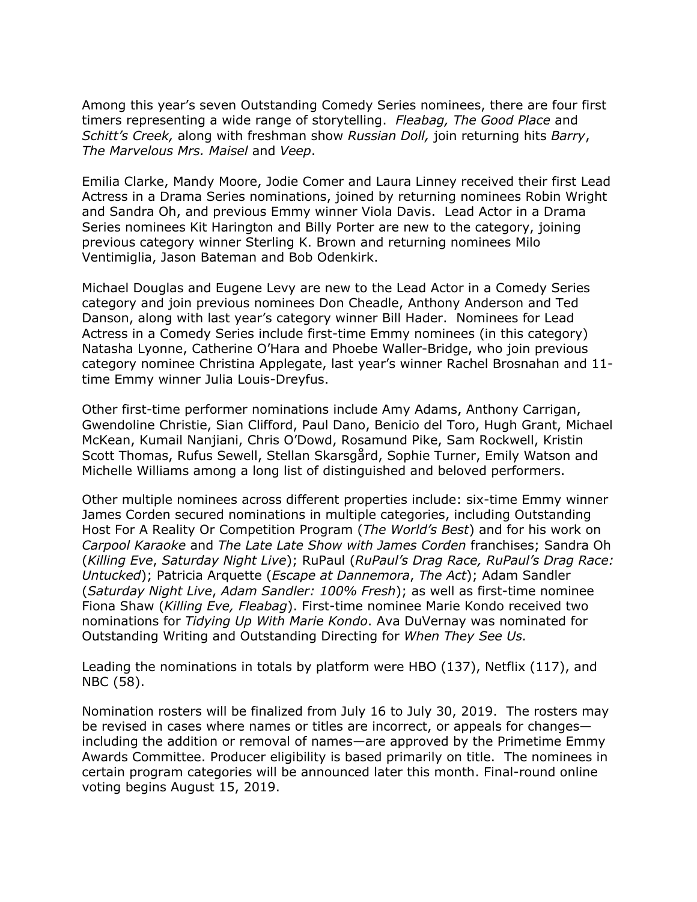Among this year's seven Outstanding Comedy Series nominees, there are four first timers representing a wide range of storytelling. *Fleabag, The Good Place* and *Schitt's Creek,* along with freshman show *Russian Doll,* join returning hits *Barry*, *The Marvelous Mrs. Maisel* and *Veep*.

Emilia Clarke, Mandy Moore, Jodie Comer and Laura Linney received their first Lead Actress in a Drama Series nominations, joined by returning nominees Robin Wright and Sandra Oh, and previous Emmy winner Viola Davis. Lead Actor in a Drama Series nominees Kit Harington and Billy Porter are new to the category, joining previous category winner Sterling K. Brown and returning nominees Milo Ventimiglia, Jason Bateman and Bob Odenkirk.

Michael Douglas and Eugene Levy are new to the Lead Actor in a Comedy Series category and join previous nominees Don Cheadle, Anthony Anderson and Ted Danson, along with last year's category winner Bill Hader. Nominees for Lead Actress in a Comedy Series include first-time Emmy nominees (in this category) Natasha Lyonne, Catherine O'Hara and Phoebe Waller-Bridge, who join previous category nominee Christina Applegate, last year's winner Rachel Brosnahan and 11 time Emmy winner Julia Louis-Dreyfus.

Other first-time performer nominations include Amy Adams, Anthony Carrigan, Gwendoline Christie, Sian Clifford, Paul Dano, Benicio del Toro, Hugh Grant, Michael McKean, Kumail Nanjiani, Chris O'Dowd, Rosamund Pike, Sam Rockwell, Kristin Scott Thomas, Rufus Sewell, Stellan Skarsgård, Sophie Turner, Emily Watson and Michelle Williams among a long list of distinguished and beloved performers.

Other multiple nominees across different properties include: six-time Emmy winner James Corden secured nominations in multiple categories, including Outstanding Host For A Reality Or Competition Program (*The World's Best*) and for his work on *Carpool Karaoke* and *The Late Late Show with James Corden* franchises; Sandra Oh (*Killing Eve*, *Saturday Night Live*); RuPaul (*RuPaul's Drag Race, RuPaul's Drag Race: Untucked*); Patricia Arquette (*Escape at Dannemora*, *The Act*); Adam Sandler (*Saturday Night Live*, *Adam Sandler: 100% Fresh*); as well as first-time nominee Fiona Shaw (*Killing Eve, Fleabag*). First-time nominee Marie Kondo received two nominations for *Tidying Up With Marie Kondo*. Ava DuVernay was nominated for Outstanding Writing and Outstanding Directing for *When They See Us.*

Leading the nominations in totals by platform were HBO (137), Netflix (117), and NBC (58).

Nomination rosters will be finalized from July 16 to July 30, 2019. The rosters may be revised in cases where names or titles are incorrect, or appeals for changes including the addition or removal of names—are approved by the Primetime Emmy Awards Committee. Producer eligibility is based primarily on title. The nominees in certain program categories will be announced later this month. Final-round online voting begins August 15, 2019.